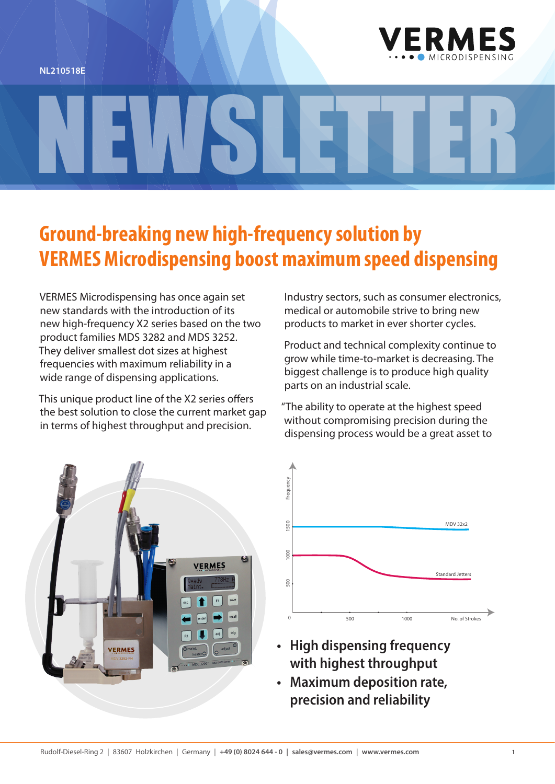



## **Ground-breaking new high-frequency solution by VERMES Microdispensing boost maximum speed dispensing**

NEWSLETTER

VERMES Microdispensing has once again set new standards with the introduction of its new high-frequency X2 series based on the two product families MDS 3282 and MDS 3252. They deliver smallest dot sizes at highest frequencies with maximum reliability in a wide range of dispensing applications.

This unique product line of the X2 series offers the best solution to close the current market gap in terms of highest throughput and precision.

Industry sectors, such as consumer electronics, medical or automobile strive to bring new products to market in ever shorter cycles.

Product and technical complexity continue to grow while time-to-market is decreasing. The biggest challenge is to produce high quality parts on an industrial scale.

"The ability to operate at the highest speed without compromising precision during the dispensing process would be a great asset to





- **• High dispensing frequency with highest throughput**
- **• Maximum deposition rate, precision and reliability**